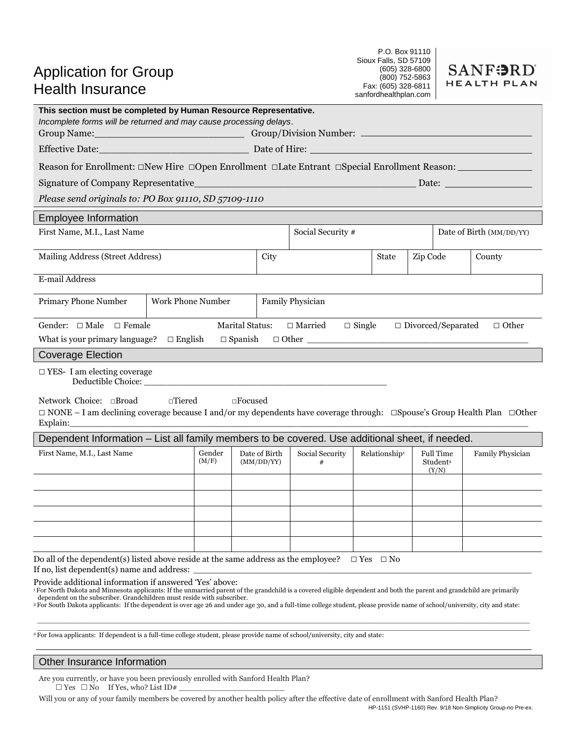| <b>Application for Group</b> |  |
|------------------------------|--|
| Health Insurance             |  |

P.O. Box 91110 Sioux Falls, SD 57109 (605) 328-6800 (800) 752-5863 Fax: (605) 328-6811 sanfordhealthplan.com



| This section must be completed by Human Resource Representative.<br>Incomplete forms will be returned and may cause processing delays.                                                                                                                                                                                                                                                                                                                                                                |                          |                 |                             |      |                          |  |                           |  |                                                   |                  |
|-------------------------------------------------------------------------------------------------------------------------------------------------------------------------------------------------------------------------------------------------------------------------------------------------------------------------------------------------------------------------------------------------------------------------------------------------------------------------------------------------------|--------------------------|-----------------|-----------------------------|------|--------------------------|--|---------------------------|--|---------------------------------------------------|------------------|
| Effective Date: Date: Date: Date of Hire: Date of Hire: Date of Hire: Date of Hire: Date of Hire: Date of Hire: Date of Hire: Date of Hire: Date of Hire: Date of Hire: Date of Hire: Date of Hire: Date of Hire: Date of Hire                                                                                                                                                                                                                                                                        |                          |                 |                             |      |                          |  |                           |  |                                                   |                  |
| Reason for Enrollment: □New Hire □Open Enrollment □Late Entrant □Special Enrollment Reason: _____________                                                                                                                                                                                                                                                                                                                                                                                             |                          |                 |                             |      |                          |  |                           |  |                                                   |                  |
| Signature of Company Representative                                                                                                                                                                                                                                                                                                                                                                                                                                                                   |                          |                 |                             |      |                          |  |                           |  |                                                   |                  |
| Please send originals to: PO Box 91110, SD 57109-1110                                                                                                                                                                                                                                                                                                                                                                                                                                                 |                          |                 |                             |      |                          |  |                           |  |                                                   |                  |
| <b>Employee Information</b>                                                                                                                                                                                                                                                                                                                                                                                                                                                                           |                          |                 |                             |      |                          |  |                           |  |                                                   |                  |
| First Name, M.I., Last Name<br>Social Security #<br>Date of Birth (MM/DD/YY)                                                                                                                                                                                                                                                                                                                                                                                                                          |                          |                 |                             |      |                          |  |                           |  |                                                   |                  |
| Mailing Address (Street Address)                                                                                                                                                                                                                                                                                                                                                                                                                                                                      |                          |                 |                             | City | Zip Code<br><b>State</b> |  |                           |  | County                                            |                  |
| E-mail Address                                                                                                                                                                                                                                                                                                                                                                                                                                                                                        |                          |                 |                             |      |                          |  |                           |  |                                                   |                  |
| <b>Primary Phone Number</b>                                                                                                                                                                                                                                                                                                                                                                                                                                                                           | <b>Work Phone Number</b> |                 |                             |      | <b>Family Physician</b>  |  |                           |  |                                                   |                  |
| Gender: $\Box$ Male $\Box$ Female<br><b>Marital Status:</b><br>$\Box$ Married<br>$\Box$ Divorced/Separated<br>$\Box$ Other<br>$\Box$ Single<br>What is your primary language? $\Box$ English<br>$\Box$ Spanish                                                                                                                                                                                                                                                                                        |                          |                 |                             |      |                          |  |                           |  |                                                   |                  |
| <b>Coverage Election</b>                                                                                                                                                                                                                                                                                                                                                                                                                                                                              |                          |                 |                             |      |                          |  |                           |  |                                                   |                  |
| $\Box$ YES- I am electing coverage<br>Deductible Choice:                                                                                                                                                                                                                                                                                                                                                                                                                                              |                          |                 |                             |      |                          |  |                           |  |                                                   |                  |
| Network Choice: <b>Broad</b><br>$\Box$<br>Tiered<br>$\square$ Focused<br>$\Box$ NONE – I am declining coverage because I and/or my dependents have coverage through: $\Box$ Spouse's Group Health Plan $\Box$ Other<br>Explain:                                                                                                                                                                                                                                                                       |                          |                 |                             |      |                          |  |                           |  |                                                   |                  |
| Dependent Information - List all family members to be covered. Use additional sheet, if needed.                                                                                                                                                                                                                                                                                                                                                                                                       |                          |                 |                             |      |                          |  |                           |  |                                                   |                  |
| First Name, M.I., Last Name                                                                                                                                                                                                                                                                                                                                                                                                                                                                           |                          | Gender<br>(M/F) | Date of Birth<br>(MM/DD/YY) |      | Social Security<br>#     |  | Relationship <sup>1</sup> |  | <b>Full Time</b><br>Student <sup>2</sup><br>(Y/N) | Family Physician |
|                                                                                                                                                                                                                                                                                                                                                                                                                                                                                                       |                          |                 |                             |      |                          |  |                           |  |                                                   |                  |
|                                                                                                                                                                                                                                                                                                                                                                                                                                                                                                       |                          |                 |                             |      |                          |  |                           |  |                                                   |                  |
|                                                                                                                                                                                                                                                                                                                                                                                                                                                                                                       |                          |                 |                             |      |                          |  |                           |  |                                                   |                  |
|                                                                                                                                                                                                                                                                                                                                                                                                                                                                                                       |                          |                 |                             |      |                          |  |                           |  |                                                   |                  |
|                                                                                                                                                                                                                                                                                                                                                                                                                                                                                                       |                          |                 |                             |      |                          |  |                           |  |                                                   |                  |
| Do all of the dependent(s) listed above reside at the same address as the employee?<br>$\square$ Yes<br>$\square$ No<br>If no, list dependent(s) name and address:                                                                                                                                                                                                                                                                                                                                    |                          |                 |                             |      |                          |  |                           |  |                                                   |                  |
| Provide additional information if answered 'Yes' above:<br>For North Dakota and Minnesota applicants: If the unmarried parent of the grandchild is a covered eligible dependent and both the parent and grandchild are primarily<br>dependent on the subscriber. Grandchildren must reside with subscriber.<br><sup>2</sup> For South Dakota applicants: If the dependent is over age 26 and under age 30, and a full-time college student, please provide name of school/university, city and state: |                          |                 |                             |      |                          |  |                           |  |                                                   |                  |

 $\overline{P}$  For Iowa applicants: If dependent is a full-time college student, please provide name of school/university, city and state:

# Other Insurance Information

Are you currently, or have you been previously enrolled with Sanford Health Plan?  $\Box$  Yes  $\Box$  No If Yes, who? List ID#

HP-1151 (SVHP-1160) Rev. 9/18 Non-Simplicity Group-no Pre-ex. Will you or any of your family members be covered by another health policy after the effective date of enrollment with Sanford Health Plan?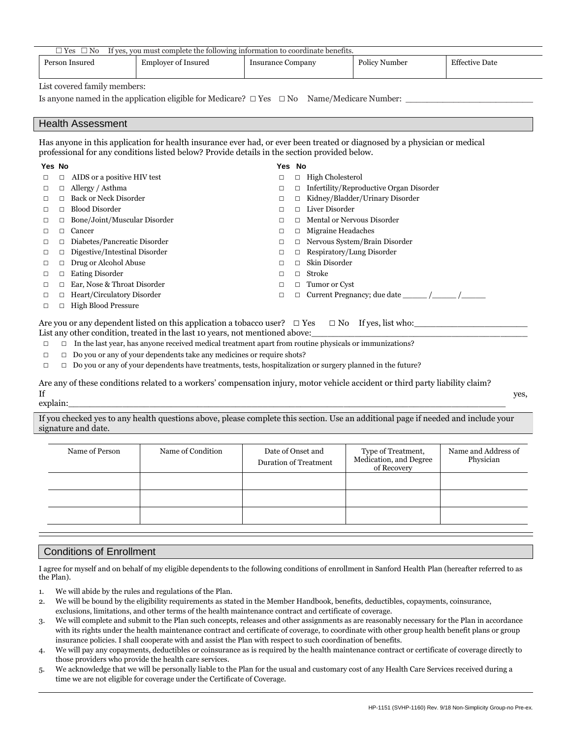|                  | Person Insured                    | <b>Employer of Insured</b>                                                                   | <b>Insurance Company</b> |                  | Policy Number                                                                                                             | <b>Effective Date</b> |
|------------------|-----------------------------------|----------------------------------------------------------------------------------------------|--------------------------|------------------|---------------------------------------------------------------------------------------------------------------------------|-----------------------|
|                  | List covered family members:      |                                                                                              |                          |                  |                                                                                                                           |                       |
|                  |                                   |                                                                                              |                          |                  | Is anyone named in the application eligible for Medicare? $\Box$ Yes $\Box$ No Name/Medicare Number:                      |                       |
|                  |                                   |                                                                                              |                          |                  |                                                                                                                           |                       |
|                  | <b>Health Assessment</b>          |                                                                                              |                          |                  |                                                                                                                           |                       |
|                  |                                   | professional for any conditions listed below? Provide details in the section provided below. |                          |                  | Has anyone in this application for health insurance ever had, or ever been treated or diagnosed by a physician or medical |                       |
| Yes No           |                                   |                                                                                              | Yes No                   |                  |                                                                                                                           |                       |
| □<br>□           | AIDS or a positive HIV test       |                                                                                              | □                        |                  | $\Box$ High Cholesterol                                                                                                   |                       |
| □<br>□           | Allergy / Asthma                  |                                                                                              | □                        |                  | $\Box$ Infertility/Reproductive Organ Disorder                                                                            |                       |
| □<br>п           | <b>Back or Neck Disorder</b>      |                                                                                              | $\Box$                   | $\Box$           | Kidney/Bladder/Urinary Disorder                                                                                           |                       |
| □                | $\Box$ Blood Disorder             |                                                                                              | $\Box$                   |                  | $\Box$ Liver Disorder                                                                                                     |                       |
| □<br>□           | Bone/Joint/Muscular Disorder      |                                                                                              | □                        |                  | Mental or Nervous Disorder                                                                                                |                       |
| $\Box$<br>□      | Cancer                            |                                                                                              | $\Box$                   | $\Box$           | Migraine Headaches                                                                                                        |                       |
| $\Box$<br>□      | Diabetes/Pancreatic Disorder      |                                                                                              | □                        |                  | $\Box$ Nervous System/Brain Disorder                                                                                      |                       |
|                  | Digestive/Intestinal Disorder     |                                                                                              | $\Box$                   | □                | Respiratory/Lung Disorder                                                                                                 |                       |
| □<br>□           | Drug or Alcohol Abuse             |                                                                                              | П                        | $\Box$           | Skin Disorder                                                                                                             |                       |
| $\Box$<br>$\Box$ |                                   |                                                                                              |                          |                  |                                                                                                                           |                       |
| $\Box$<br>□      | <b>Eating Disorder</b>            |                                                                                              | $\Box$                   | Stroke<br>$\Box$ |                                                                                                                           |                       |
| □                | Ear, Nose & Throat Disorder       |                                                                                              | □                        | п                | Tumor or Cyst                                                                                                             |                       |
| □<br>п           | <b>Heart/Circulatory Disorder</b> |                                                                                              | $\Box$                   | $\Box$           |                                                                                                                           |                       |

- □ □ Do you or any of your dependents take any medicines or require shots?
- □ □ Do you or any of your dependents have treatments, tests, hospitalization or surgery planned in the future?

Are any of these conditions related to a workers' compensation injury, motor vehicle accident or third party liability claim? If  $\gamma$ 

explain:\_\_\_\_\_\_\_\_\_\_\_\_\_\_\_\_\_\_\_\_\_\_\_\_\_\_\_\_\_\_\_\_\_\_\_\_\_\_\_\_\_\_\_\_\_\_\_\_\_\_\_\_\_\_\_\_\_\_\_\_\_\_\_\_\_\_\_\_\_\_\_\_\_\_\_\_\_\_\_\_\_

If you checked yes to any health questions above, please complete this section. Use an additional page if needed and include your signature and date.

| Name of Person | Name of Condition | Date of Onset and<br>Duration of Treatment | Type of Treatment,<br>Medication, and Degree<br>of Recovery | Name and Address of<br>Physician |
|----------------|-------------------|--------------------------------------------|-------------------------------------------------------------|----------------------------------|
|                |                   |                                            |                                                             |                                  |
|                |                   |                                            |                                                             |                                  |
|                |                   |                                            |                                                             |                                  |

# Conditions of Enrollment

I agree for myself and on behalf of my eligible dependents to the following conditions of enrollment in Sanford Health Plan (hereafter referred to as the Plan).

- 1. We will abide by the rules and regulations of the Plan.
- 2. We will be bound by the eligibility requirements as stated in the Member Handbook, benefits, deductibles, copayments, coinsurance, exclusions, limitations, and other terms of the health maintenance contract and certificate of coverage.
- 3. We will complete and submit to the Plan such concepts, releases and other assignments as are reasonably necessary for the Plan in accordance with its rights under the health maintenance contract and certificate of coverage, to coordinate with other group health benefit plans or group insurance policies. I shall cooperate with and assist the Plan with respect to such coordination of benefits.
- 4. We will pay any copayments, deductibles or coinsurance as is required by the health maintenance contract or certificate of coverage directly to those providers who provide the health care services.
- 5. We acknowledge that we will be personally liable to the Plan for the usual and customary cost of any Health Care Services received during a time we are not eligible for coverage under the Certificate of Coverage.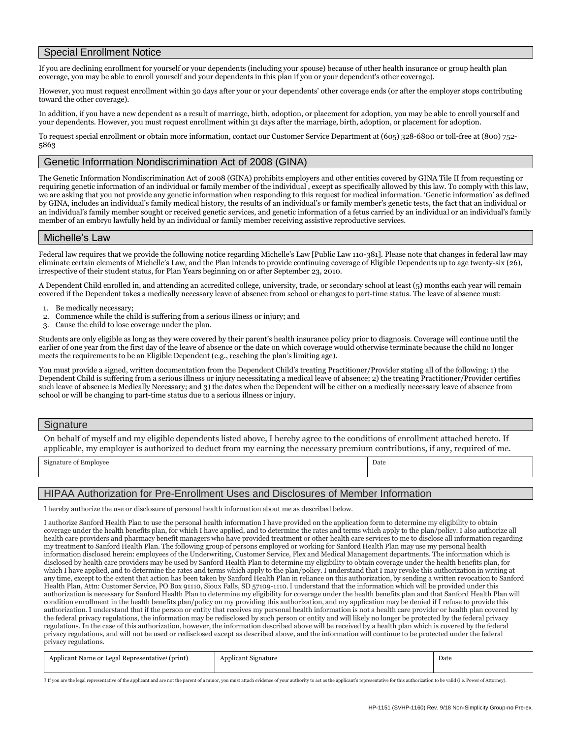### Special Enrollment Notice

If you are declining enrollment for yourself or your dependents (including your spouse) because of other health insurance or group health plan coverage, you may be able to enroll yourself and your dependents in this plan if you or your dependent's other coverage).

However, you must request enrollment within 30 days after your or your dependents' other coverage ends (or after the employer stops contributing toward the other coverage).

In addition, if you have a new dependent as a result of marriage, birth, adoption, or placement for adoption, you may be able to enroll yourself and your dependents. However, you must request enrollment within 31 days after the marriage, birth, adoption, or placement for adoption.

To request special enrollment or obtain more information, contact our Customer Service Department at (605) 328-6800 or toll-free at (800) 752- 5863

# Genetic Information Nondiscrimination Act of 2008 (GINA)

The Genetic Information Nondiscrimination Act of 2008 (GINA) prohibits employers and other entities covered by GINA Tile II from requesting or requiring genetic information of an individual or family member of the individual , except as specifically allowed by this law. To comply with this law, we are asking that you not provide any genetic information when responding to this request for medical information. 'Genetic information' as defined by GINA, includes an individual's family medical history, the results of an individual's or family member's genetic tests, the fact that an individual or an individual's family member sought or received genetic services, and genetic information of a fetus carried by an individual or an individual's family member of an embryo lawfully held by an individual or family member receiving assistive reproductive services.

#### Michelle's Law

Federal law requires that we provide the following notice regarding Michelle's Law [Public Law 110-381]. Please note that changes in federal law may eliminate certain elements of Michelle's Law, and the Plan intends to provide continuing coverage of Eligible Dependents up to age twenty-six (26), irrespective of their student status, for Plan Years beginning on or after September 23, 2010.

A Dependent Child enrolled in, and attending an accredited college, university, trade, or secondary school at least (5) months each year will remain covered if the Dependent takes a medically necessary leave of absence from school or changes to part-time status. The leave of absence must:

- 1. Be medically necessary;
- 2. Commence while the child is suffering from a serious illness or injury; and
- 3. Cause the child to lose coverage under the plan.

Students are only eligible as long as they were covered by their parent's health insurance policy prior to diagnosis. Coverage will continue until the earlier of one year from the first day of the leave of absence or the date on which coverage would otherwise terminate because the child no longer meets the requirements to be an Eligible Dependent (e.g., reaching the plan's limiting age).

You must provide a signed, written documentation from the Dependent Child's treating Practitioner/Provider stating all of the following: 1) the Dependent Child is suffering from a serious illness or injury necessitating a medical leave of absence; 2) the treating Practitioner/Provider certifies such leave of absence is Medically Necessary; and 3) the dates when the Dependent will be either on a medically necessary leave of absence from school or will be changing to part-time status due to a serious illness or injury.

#### **Signature**

On behalf of myself and my eligible dependents listed above, I hereby agree to the conditions of enrollment attached hereto. If applicable, my employer is authorized to deduct from my earning the necessary premium contributions, if any, required of me.

Signature of Employee Date

### HIPAA Authorization for Pre-Enrollment Uses and Disclosures of Member Information

I hereby authorize the use or disclosure of personal health information about me as described below.

I authorize Sanford Health Plan to use the personal health information I have provided on the application form to determine my eligibility to obtain coverage under the health benefits plan, for which I have applied, and to determine the rates and terms which apply to the plan/policy. I also authorize all health care providers and pharmacy benefit managers who have provided treatment or other health care services to me to disclose all information regarding my treatment to Sanford Health Plan. The following group of persons employed or working for Sanford Health Plan may use my personal health information disclosed herein: employees of the Underwriting, Customer Service, Flex and Medical Management departments. The information which is disclosed by health care providers may be used by Sanford Health Plan to determine my eligibility to obtain coverage under the health benefits plan, for which I have applied, and to determine the rates and terms which apply to the plan/policy. I understand that I may revoke this authorization in writing at any time, except to the extent that action has been taken by Sanford Health Plan in reliance on this authorization, by sending a written revocation to Sanford Health Plan, Attn: Customer Service, PO Box 91110, Sioux Falls, SD 57109-1110.I understand that the information which will be provided under this authorization is necessary for Sanford Health Plan to determine my eligibility for coverage under the health benefits plan and that Sanford Health Plan will condition enrollment in the health benefits plan/policy on my providing this authorization, and my application may be denied if I refuse to provide this authorization.I understand that if the person or entity that receives my personal health information is not a health care provider or health plan covered by the federal privacy regulations, the information may be redisclosed by such person or entity and will likely no longer be protected by the federal privacy regulations. In the case of this authorization, however, the information described above will be received by a health plan which is covered by the federal privacy regulations, and will not be used or redisclosed except as described above, and the information will continue to be protected under the federal privacy regulations.

| Applicant Name or Legal Representative <sup>1</sup> (print) | Applicant Signature | Date |
|-------------------------------------------------------------|---------------------|------|
|                                                             |                     |      |

1 If you are the legal representative of the applicant and are not the parent of a minor, you must attach evidence of your authority to act as the applicant's representative for this authorization to be valid (i.e. Power o